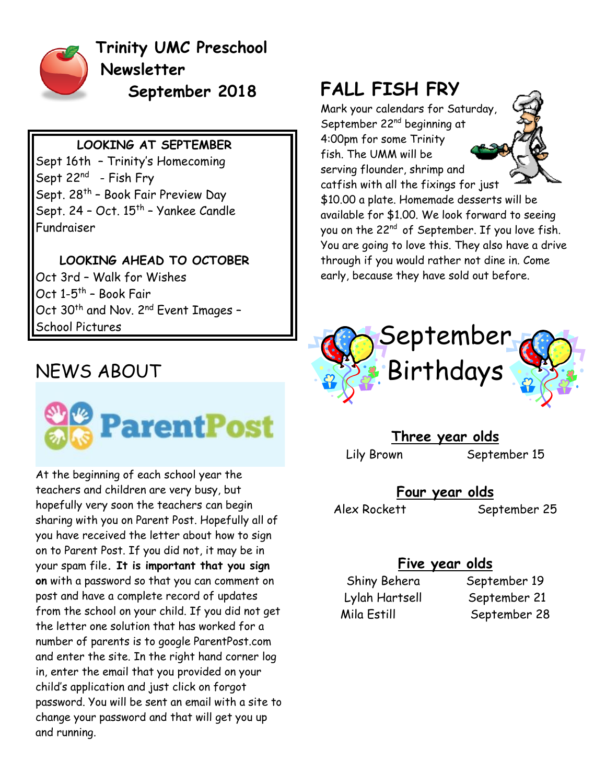

**Trinity UMC Preschool Newsletter September 2018**

#### **LOOKING AT SEPTEMBER**

Sept 16th – Trinity's Homecoming Sept 22<sup>nd</sup> - Fish Fry Sept. 28<sup>th</sup> - Book Fair Preview Day Sept. 24 - Oct. 15<sup>th</sup> - Yankee Candle Fundraiser

**LOOKING AHEAD TO OCTOBER** Oct 3rd – Walk for Wishes Oct 1-5<sup>th</sup> – Book Fair Oct 30<sup>th</sup> and Nov. 2<sup>nd</sup> Event Images -School Pictures

#### NEWS ABOUT



At the beginning of each school year the teachers and children are very busy, but hopefully very soon the teachers can begin sharing with you on Parent Post. Hopefully all of you have received the letter about how to sign on to Parent Post. If you did not, it may be in your spam file**. It is important that you sign on** with a password so that you can comment on post and have a complete record of updates from the school on your child. If you did not get the letter one solution that has worked for a number of parents is to google ParentPost.com and enter the site. In the right hand corner log in, enter the email that you provided on your child's application and just click on forgot password. You will be sent an email with a site to change your password and that will get you up and running.

### **FALL FISH FRY**

Mark your calendars for Saturday, September 22<sup>nd</sup> beginning at 4:00pm for some Trinity fish. The UMM will be serving flounder, shrimp and



catfish with all the fixings for just \$10.00 a plate. Homemade desserts will be available for \$1.00. We look forward to seeing you on the 22<sup>nd</sup> of September. If you love fish. You are going to love this. They also have a drive through if you would rather not dine in. Come early, because they have sold out before.



**Three year olds**

Lily Brown September 15

**Four year olds**

Alex Rockett September 25

#### **Five year olds**

Shiny Behera September 19 Lylah Hartsell September 21 Mila Estill September 28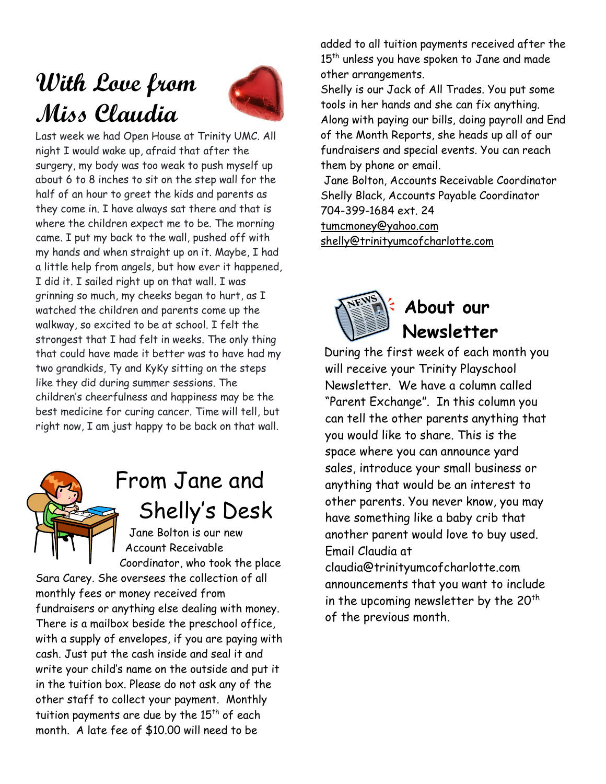# **With Love from Miss Claudia**



Last week we had Open House at Trinity UMC. All night I would wake up, afraid that after the surgery, my body was too weak to push myself up about 6 to 8 inches to sit on the step wall for the half of an hour to greet the kids and parents as they come in. I have always sat there and that is where the children expect me to be. The morning came. I put my back to the wall, pushed off with my hands and when straight up on it. Maybe, I had a little help from angels, but how ever it happened, I did it. I sailed right up on that wall. I was grinning so much, my cheeks began to hurt, as I watched the children and parents come up the walkway, so excited to be at school. I felt the strongest that I had felt in weeks. The only thing that could have made it better was to have had my two grandkids, Ty and KyKy sitting on the steps like they did during summer sessions. The children's cheerfulness and happiness may be the best medicine for curing cancer. Time will tell, but right now, I am just happy to be back on that wall.



# From Jane and Shelly's Desk

Jane Bolton is our new Account Receivable Coordinator, who took the place

Sara Carey. She oversees the collection of all monthly fees or money received from fundraisers or anything else dealing with money. There is a mailbox beside the preschool office, with a supply of envelopes, if you are paying with cash. Just put the cash inside and seal it and write your child's name on the outside and put it in the tuition box. Please do not ask any of the other staff to collect your payment. Monthly tuition payments are due by the  $15<sup>th</sup>$  of each month. A late fee of \$10.00 will need to be

added to all tuition payments received after the 15<sup>th</sup> unless you have spoken to Jane and made other arrangements.

Shelly is our Jack of All Trades. You put some tools in her hands and she can fix anything. Along with paying our bills, doing payroll and End of the Month Reports, she heads up all of our fundraisers and special events. You can reach them by phone or email.

Jane Bolton, Accounts Receivable Coordinator Shelly Black, Accounts Payable Coordinator 704-399-1684 ext. 24

[tumcmoney@yahoo.com](mailto:tumcmoney@yahoo.com) [shelly@trinityumcofcharlotte.com](mailto:shelly@trinityumcofcharlotte.com)



### **About our Newsletter**

During the first week of each month you will receive your Trinity Playschool Newsletter. We have a column called "Parent Exchange". In this column you can tell the other parents anything that you would like to share. This is the space where you can announce yard sales, introduce your small business or anything that would be an interest to other parents. You never know, you may have something like a baby crib that another parent would love to buy used. Email Claudia at claudia@trinityumcofcharlotte.com announcements that you want to include

in the upcoming newsletter by the  $20<sup>th</sup>$ 

of the previous month.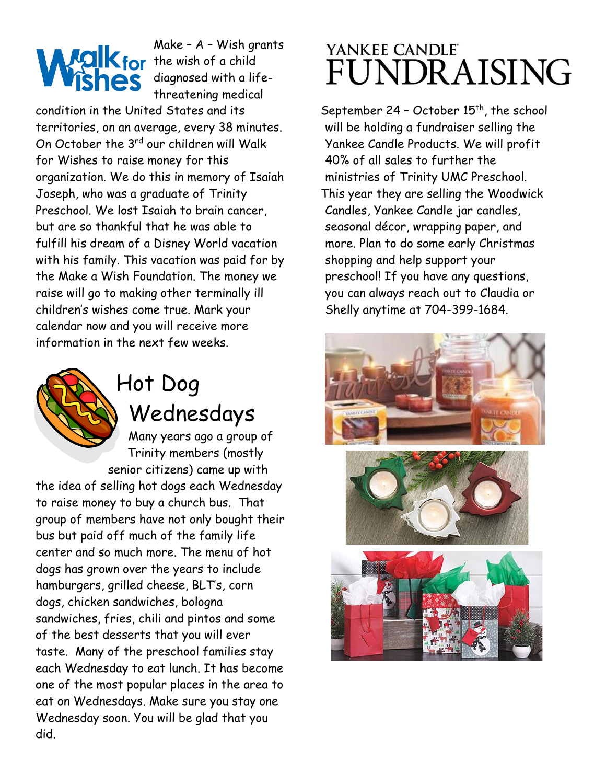Make – A – Wish grants  $M$   $\Omega$   $\mathbf{K}$  for the wish of a child diagnosed with a lifethreatening medical

condition in the United States and its territories, on an average, every 38 minutes. On October the 3<sup>rd</sup> our children will Walk for Wishes to raise money for this organization. We do this in memory of Isaiah Joseph, who was a graduate of Trinity Preschool. We lost Isaiah to brain cancer, but are so thankful that he was able to fulfill his dream of a Disney World vacation with his family. This vacation was paid for by the Make a Wish Foundation. The money we raise will go to making other terminally ill children's wishes come true. Mark your calendar now and you will receive more information in the next few weeks.



# Hot Dog Wednesdays

Many years ago a group of Trinity members (mostly senior citizens) came up with

the idea of selling hot dogs each Wednesday to raise money to buy a church bus. That group of members have not only bought their bus but paid off much of the family life center and so much more. The menu of hot dogs has grown over the years to include hamburgers, grilled cheese, BLT's, corn dogs, chicken sandwiches, bologna sandwiches, fries, chili and pintos and some of the best desserts that you will ever taste. Many of the preschool families stay each Wednesday to eat lunch. It has become one of the most popular places in the area to eat on Wednesdays. Make sure you stay one Wednesday soon. You will be glad that you did.

## YANKEE CANDLE<sup>®</sup> UNDRAISING

September 24 - October 15<sup>th</sup>, the school will be holding a fundraiser selling the Yankee Candle Products. We will profit 40% of all sales to further the ministries of Trinity UMC Preschool. This year they are selling the Woodwick Candles, Yankee Candle jar candles, seasonal décor, wrapping paper, and more. Plan to do some early Christmas shopping and help support your preschool! If you have any questions, you can always reach out to Claudia or Shelly anytime at 704-399-1684.